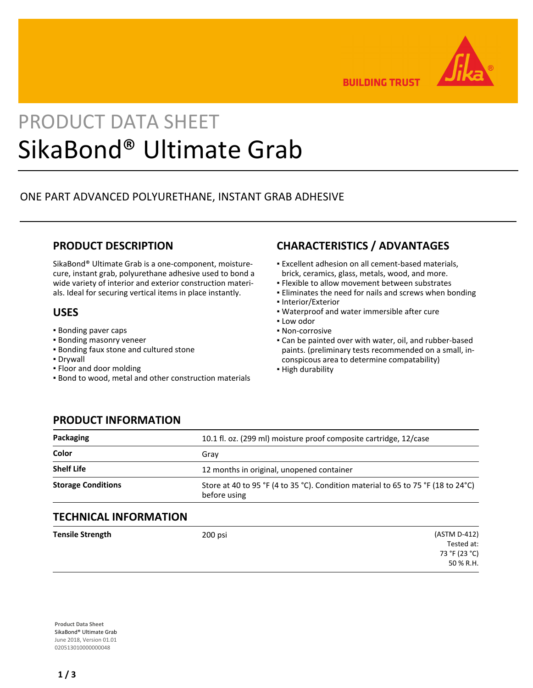

**BUILDING TRUST** 

# PRODUCT DATA SHEET SikaBond® Ultimate Grab

## ONE PART ADVANCED POLYURETHANE, INSTANT GRAB ADHESIVE

## **PRODUCT DESCRIPTION**

SikaBond® Ultimate Grab is a one-component, moisturecure, instant grab, polyurethane adhesive used to bond a wide variety of interior and exterior construction materials. Ideal for securing vertical items in place instantly.

#### **USES**

- Bonding paver caps
- **Bonding masonry veneer**
- **.** Bonding faux stone and cultured stone
- Drywall
- Floor and door molding
- Bond to wood, metal and other construction materials

# **CHARACTERISTICS / ADVANTAGES**

- Excellent adhesion on all cement-based materials, brick, ceramics, glass, metals, wood, and more.
- **.** Flexible to allow movement between substrates
- **Eliminates the need for nails and screws when bonding**
- Interior/Exterior
- Waterproof and water immersible after cure
- Low odor
- Non-corrosive
- Can be painted over with water, oil, and rubber-based paints. (preliminary tests recommended on a small, inconspicous area to determine compatability)
- **· High durability**

## **PRODUCT INFORMATION**

| 10.1 fl. oz. (299 ml) moisture proof composite cartridge, 12/case                                  |
|----------------------------------------------------------------------------------------------------|
| Grav                                                                                               |
| 12 months in original, unopened container                                                          |
| Store at 40 to 95 °F (4 to 35 °C). Condition material to 65 to 75 °F (18 to 24 °C)<br>before using |
|                                                                                                    |

### **TECHNICAL INFORMATION**

| <b>Tensile Strength</b> | 200 psi | (ASTM D-412)  |
|-------------------------|---------|---------------|
|                         |         | Tested at:    |
|                         |         | 73 °F (23 °C) |
|                         |         | 50 % R.H.     |

**Product Data Sheet** SikaBond® Ultimate Grab June 2018, Version 01.01 020513010000000048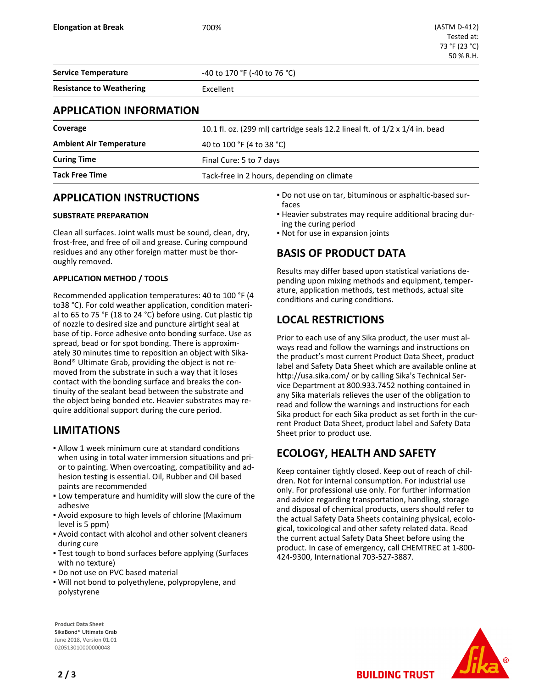**Service Temperature 1998 120 CM 170 °F** (-40 to 76 °C)

**Resistance to Weathering Excellent** 

## **APPLICATION INFORMATION**

| Coverage                       | 10.1 fl. oz. (299 ml) cartridge seals 12.2 lineal ft. of 1/2 x 1/4 in. bead |  |  |
|--------------------------------|-----------------------------------------------------------------------------|--|--|
| <b>Ambient Air Temperature</b> | 40 to 100 °F (4 to 38 °C)                                                   |  |  |
| <b>Curing Time</b>             | Final Cure: 5 to 7 days                                                     |  |  |
| <b>Tack Free Time</b>          | Tack-free in 2 hours, depending on climate                                  |  |  |

## **APPLICATION INSTRUCTIONS**

#### **SUBSTRATE PREPARATION**

Clean all surfaces. Joint walls must be sound, clean, dry, frost-free, and free of oil and grease. Curing compound residues and any other foreign matter must be thoroughly removed.

#### **APPLICATION METHOD / TOOLS**

Recommended application temperatures: 40 to 100 °F (4 to38 °C). For cold weather application, condition material to 65 to 75 °F (18 to 24 °C) before using. Cut plastic tip of nozzle to desired size and puncture airtight seal at base of tip. Force adhesive onto bonding surface. Use as spread, bead or for spot bonding. There is approximately 30 minutes time to reposition an object with Sika-Bond® Ultimate Grab, providing the object is not removed from the substrate in such a way that it loses contact with the bonding surface and breaks the continuity of the sealant bead between the substrate and the object being bonded etc. Heavier substrates may require additional support during the cure period.

## **LIMITATIONS**

- Allow 1 week minimum cure at standard conditions when using in total water immersion situations and prior to painting. When overcoating, compatibility and adhesion testing is essential. Oil, Rubber and Oil based paints are recommended
- **.** Low temperature and humidity will slow the cure of the adhesive
- **-** Avoid exposure to high levels of chlorine (Maximum level is 5 ppm)
- Avoid contact with alcohol and other solvent cleaners during cure
- Test tough to bond surfaces before applying (Surfaces with no texture)
- **.** Do not use on PVC based material
- Will not bond to polyethylene, polypropylene, and polystyrene

Do not use on tar, bituminous or asphaltic-based sur-▪ faces Heavier substrates may require additional bracing dur-▪

- ing the curing period
- Not for use in expansion joints

## **BASIS OF PRODUCT DATA**

Results may differ based upon statistical variations depending upon mixing methods and equipment, temperature, application methods, test methods, actual site conditions and curing conditions.

## **LOCAL RESTRICTIONS**

Prior to each use of any Sika product, the user must always read and follow the warnings and instructions on the product's most current Product Data Sheet, product label and Safety Data Sheet which are available online at http://usa.sika.com/ or by calling Sika's Technical Service Department at 800.933.7452 nothing contained in any Sika materials relieves the user of the obligation to read and follow the warnings and instructions for each Sika product for each Sika product as set forth in the current Product Data Sheet, product label and Safety Data Sheet prior to product use.

# **ECOLOGY, HEALTH AND SAFETY**

Keep container tightly closed. Keep out of reach of children. Not for internal consumption. For industrial use only. For professional use only. For further information and advice regarding transportation, handling, storage and disposal of chemical products, users should refer to the actual Safety Data Sheets containing physical, ecological, toxicological and other safety related data. Read the current actual Safety Data Sheet before using the product. In case of emergency, call CHEMTREC at 1-800- 424-9300, International 703-527-3887.

**BUILDING TRUST** 



**Product Data Sheet** SikaBond® Ultimate Grab June 2018, Version 01.01 020513010000000048